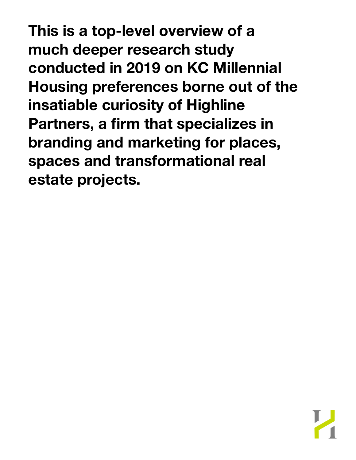**This is a top-level overview of a much deeper research study conducted in 2019 on KC Millennial Housing preferences borne out of the insatiable curiosity of Highline Partners, a firm that specializes in branding and marketing for places, spaces and transformational real estate projects.**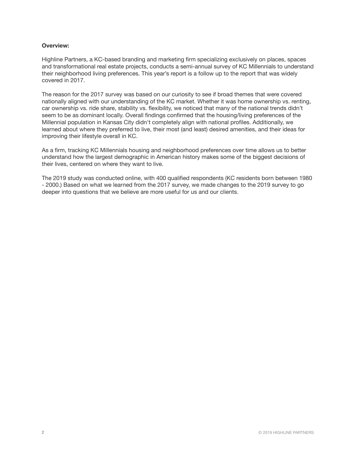## **Overview:**

Highline Partners, a KC-based branding and marketing firm specializing exclusively on places, spaces and transformational real estate projects, conducts a semi-annual survey of KC Millennials to understand their neighborhood living preferences. This year's report is a follow up to the report that was widely covered in 2017.

The reason for the 2017 survey was based on our curiosity to see if broad themes that were covered nationally aligned with our understanding of the KC market. Whether it was home ownership vs. renting, car ownership vs. ride share, stability vs. flexibility, we noticed that many of the national trends didn't seem to be as dominant locally. Overall findings confirmed that the housing/living preferences of the Millennial population in Kansas City didn't completely align with national profiles. Additionally, we learned about where they preferred to live, their most (and least) desired amenities, and their ideas for improving their lifestyle overall in KC.

As a firm, tracking KC Millennials housing and neighborhood preferences over time allows us to better understand how the largest demographic in American history makes some of the biggest decisions of their lives, centered on where they want to live.

The 2019 study was conducted online, with 400 qualified respondents (KC residents born between 1980 - 2000.) Based on what we learned from the 2017 survey, we made changes to the 2019 survey to go deeper into questions that we believe are more useful for us and our clients.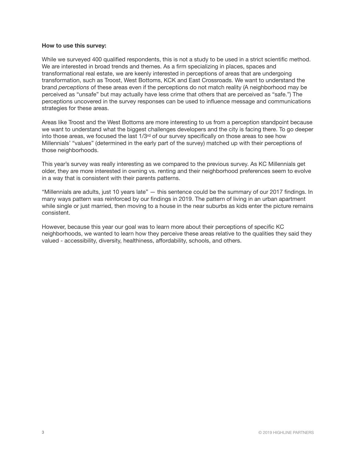### **How to use this survey:**

While we surveyed 400 qualified respondents, this is not a study to be used in a strict scientific method. We are interested in broad trends and themes. As a firm specializing in places, spaces and transformational real estate, we are keenly interested in perceptions of areas that are undergoing transformation, such as Troost, West Bottoms, KCK and East Crossroads. We want to understand the brand *perceptions* of these areas even if the perceptions do not match reality (A neighborhood may be perceived as "unsafe" but may actually have less crime that others that are perceived as "safe.") The perceptions uncovered in the survey responses can be used to influence message and communications strategies for these areas.

Areas like Troost and the West Bottoms are more interesting to us from a perception standpoint because we want to understand what the biggest challenges developers and the city is facing there. To go deeper into those areas, we focused the last  $1/3<sup>rd</sup>$  of our survey specifically on those areas to see how Millennials' "values" (determined in the early part of the survey) matched up with their perceptions of those neighborhoods.

This year's survey was really interesting as we compared to the previous survey. As KC Millennials get older, they are more interested in owning vs. renting and their neighborhood preferences seem to evolve in a way that is consistent with their parents patterns.

"Millennials are adults, just 10 years late" — this sentence could be the summary of our 2017 findings. In many ways pattern was reinforced by our findings in 2019. The pattern of living in an urban apartment while single or just married, then moving to a house in the near suburbs as kids enter the picture remains consistent.

However, because this year our goal was to learn more about their perceptions of specific KC neighborhoods, we wanted to learn how they perceive these areas relative to the qualities they said they valued - accessibility, diversity, healthiness, affordability, schools, and others.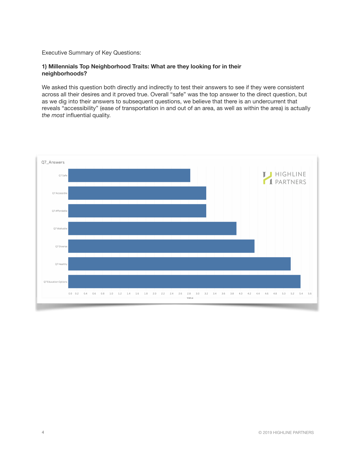# Executive Summary of Key Questions:

## **1) Millennials Top Neighborhood Traits: What are they looking for in their neighborhoods?**

We asked this question both directly and indirectly to test their answers to see if they were consistent across all their desires and it proved true. Overall "safe" was the top answer to the direct question, but as we dig into their answers to subsequent questions, we believe that there is an undercurrent that reveals "accessibility" (ease of transportation in and out of an area, as well as within the area) is actually *the most* influential quality.

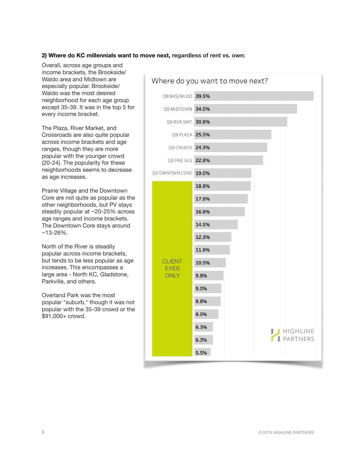# **2) Where do KC millennials want to move next, regardless of rent vs. own:**

Overall, across age groups and income brackets, the Brookside/ Waldo area and Midtown are especially popular. Brookside/ Waldo was the most desired neighborhood for each age group except 35-39. It was in the top 5 for every income bracket.

The Plaza, River Market, and Crossroads are also quite popular across income brackets and age ranges, though they are more popular with the younger crowd (20-24). The popularity for these neighborhoods seems to decrease as age increases.

Prairie Village and the Downtown Core are not quite as popular as the other neighborhoods, but PV stays steadily popular at ~20-25% across age ranges and income brackets. The Downtown Core stays around ~13-26%.

North of the River is steadily popular across income brackets, but tends to be less popular as age increases. This encompasses a large area - North KC, Gladstone, Parkville, and others.

Overland Park was the most popular "suburb," though it was not popular with the 35-39 crowd or the \$91,000+ crowd.

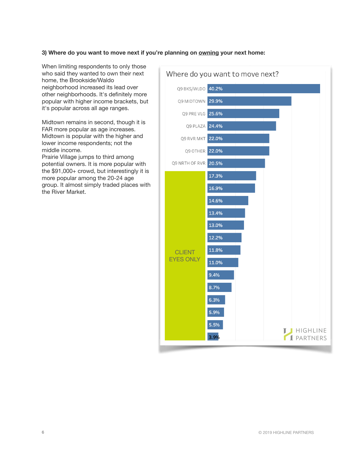# **3) Where do you want to move next if you're planning on owning your next home:**

When limiting respondents to only those who said they wanted to own their next home, the Brookside/Waldo neighborhood increased its lead over other neighborhoods. It's definitely more popular with higher income brackets, but it's popular across all age ranges.

Midtown remains in second, though it is FAR more popular as age increases. Midtown is popular with the higher and lower income respondents; not the middle income.

Prairie Village jumps to third among potential owners. It is more popular with the \$91,000+ crowd, but interestingly it is more popular among the 20-24 age group. It almost simply traded places with the River Market.

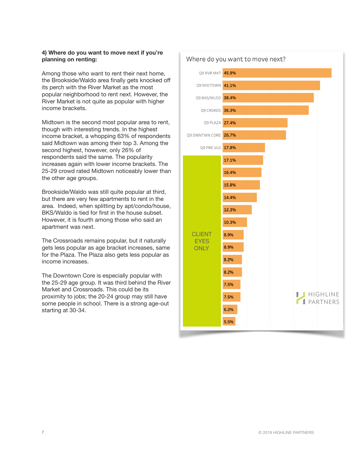# **4) Where do you want to move next if you're planning on renting:**

Among those who want to rent their next home, the Brookside/Waldo area finally gets knocked off its perch with the River Market as the most popular neighborhood to rent next. However, the River Market is not quite as popular with higher income brackets.

Midtown is the second most popular area to rent, though with interesting trends. In the highest income bracket, a whopping 63% of respondents said Midtown was among their top 3. Among the second highest, however, only 26% of respondents said the same. The popularity increases again with lower income brackets. The 25-29 crowd rated Midtown noticeably lower than the other age groups.

Brookside/Waldo was still quite popular at third, but there are very few apartments to rent in the area. Indeed, when splitting by apt/condo/house, BKS/Waldo is tied for first in the house subset. However, it is fourth among those who said an apartment was next.

The Crossroads remains popular, but it naturally gets less popular as age bracket increases, same for the Plaza. The Plaza also gets less popular as income increases.

The Downtown Core is especially popular with the 25-29 age group. It was third behind the River Market and Crossroads. This could be its proximity to jobs; the 20-24 group may still have some people in school. There is a strong age-out starting at 30-34.



#### 7 © 2019 HIGHLINE PARTNERS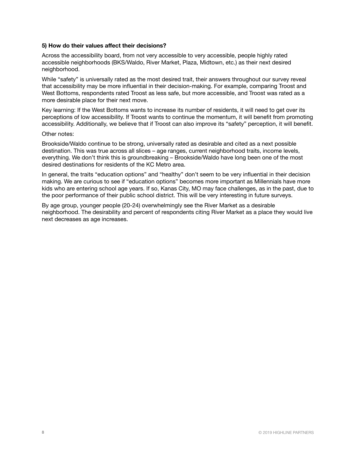### **5) How do their values affect their decisions?**

Across the accessibility board, from not very accessible to very accessible, people highly rated accessible neighborhoods (BKS/Waldo, River Market, Plaza, Midtown, etc.) as their next desired neighborhood.

While "safety" is universally rated as the most desired trait, their answers throughout our survey reveal that accessibility may be more influential in their decision-making. For example, comparing Troost and West Bottoms, respondents rated Troost as less safe, but more accessible, and Troost was rated as a more desirable place for their next move.

Key learning: If the West Bottoms wants to increase its number of residents, it will need to get over its perceptions of low accessibility. If Troost wants to continue the momentum, it will benefit from promoting accessibility. Additionally, we believe that if Troost can also improve its "safety" perception, it will benefit.

### Other notes:

Brookside/Waldo continue to be strong, universally rated as desirable and cited as a next possible destination. This was true across all slices – age ranges, current neighborhood traits, income levels, everything. We don't think this is groundbreaking – Brookside/Waldo have long been one of the most desired destinations for residents of the KC Metro area.

In general, the traits "education options" and "healthy" don't seem to be very influential in their decision making. We are curious to see if "education options" becomes more important as Millennials have more kids who are entering school age years. If so, Kanas City, MO may face challenges, as in the past, due to the poor performance of their public school district. This will be very interesting in future surveys.

By age group, younger people (20-24) overwhelmingly see the River Market as a desirable neighborhood. The desirability and percent of respondents citing River Market as a place they would live next decreases as age increases.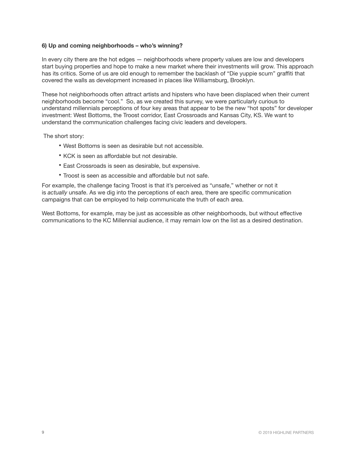## **6) Up and coming neighborhoods – who's winning?**

In every city there are the hot edges — neighborhoods where property values are low and developers start buying properties and hope to make a new market where their investments will grow. This approach has its critics. Some of us are old enough to remember the backlash of "Die yuppie scum" graffiti that covered the walls as development increased in places like Williamsburg, Brooklyn.

These hot neighborhoods often attract artists and hipsters who have been displaced when their current neighborhoods become "cool." So, as we created this survey, we were particularly curious to understand millennials perceptions of four key areas that appear to be the new "hot spots" for developer investment: West Bottoms, the Troost corridor, East Crossroads and Kansas City, KS. We want to understand the communication challenges facing civic leaders and developers.

The short story:

- West Bottoms is seen as desirable but not accessible.
- KCK is seen as affordable but not desirable.
- East Crossroads is seen as desirable, but expensive.
- Troost is seen as accessible and affordable but not safe.

For example, the challenge facing Troost is that it's perceived as "unsafe," whether or not it is *actually* unsafe. As we dig into the perceptions of each area, there are specific communication campaigns that can be employed to help communicate the truth of each area.

West Bottoms, for example, may be just as accessible as other neighborhoods, but without effective communications to the KC Millennial audience, it may remain low on the list as a desired destination.